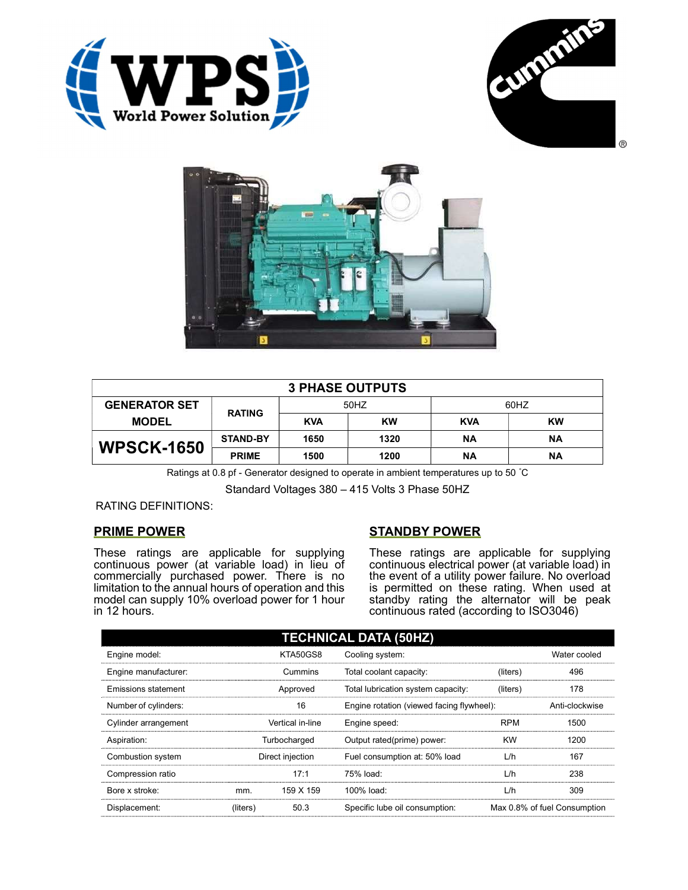





| <b>3 PHASE OUTPUTS</b> |                 |            |           |            |           |  |  |
|------------------------|-----------------|------------|-----------|------------|-----------|--|--|
| <b>GENERATOR SET</b>   | <b>RATING</b>   | 50HZ       |           | 60HZ       |           |  |  |
| <b>MODEL</b>           |                 | <b>KVA</b> | <b>KW</b> | <b>KVA</b> | <b>KW</b> |  |  |
| <b>WPSCK-1650</b>      | <b>STAND-BY</b> | 1650       | 1320      | ΝA         | <b>NA</b> |  |  |
|                        | <b>PRIME</b>    | 1500       | 1200      | ΝA         | <b>NA</b> |  |  |

Ratings at 0.8 pf - Generator designed to operate in ambient temperatures up to 50 °C

Standard Voltages 380 – 415 Volts 3 Phase 50HZ

RATING DEFINITIONS:

# PRIME POWER

These ratings are applicable for supplying continuous power (at variable load) in lieu of commercially purchased power. There is no limitation to the annual hours of operation and this model can supply 10% overload power for 1 hour in 12 hours.

# STANDBY POWER

These ratings are applicable for supplying continuous electrical power (at variable load) in the event of a utility power failure. No overload is permitted on these rating. When used at standby rating the alternator will be peak continuous rated (according to ISO3046)

| <b>TECHNICAL DATA (50HZ)</b> |                  |           |                                           |            |                              |  |
|------------------------------|------------------|-----------|-------------------------------------------|------------|------------------------------|--|
| Engine model:                |                  | KTA50GS8  | Cooling system:                           |            | Water cooled                 |  |
| Engine manufacturer:         | Cummins          |           | Total coolant capacity:                   | (liters)   | 496                          |  |
| <b>Emissions statement</b>   | Approved         |           | Total lubrication system capacity:        | (liters)   | 178                          |  |
| Number of cylinders:         | 16               |           | Engine rotation (viewed facing flywheel): |            | Anti-clockwise               |  |
| Cylinder arrangement         | Vertical in-line |           | Engine speed:                             | <b>RPM</b> | 1500                         |  |
| Aspiration:                  | Turbocharged     |           | Output rated(prime) power:                | <b>KW</b>  | 1200                         |  |
| Combustion system            | Direct injection |           | Fuel consumption at: 50% load             | L/h        | 167                          |  |
| Compression ratio            |                  | 17:1      | 75% load:                                 | L/h        | 238                          |  |
| Bore x stroke:               | mm.              | 159 X 159 | 100% load:                                | L/h        | 309                          |  |
| Displacement:                | (liters)         | 50.3      | Specific lube oil consumption:            |            | Max 0.8% of fuel Consumption |  |